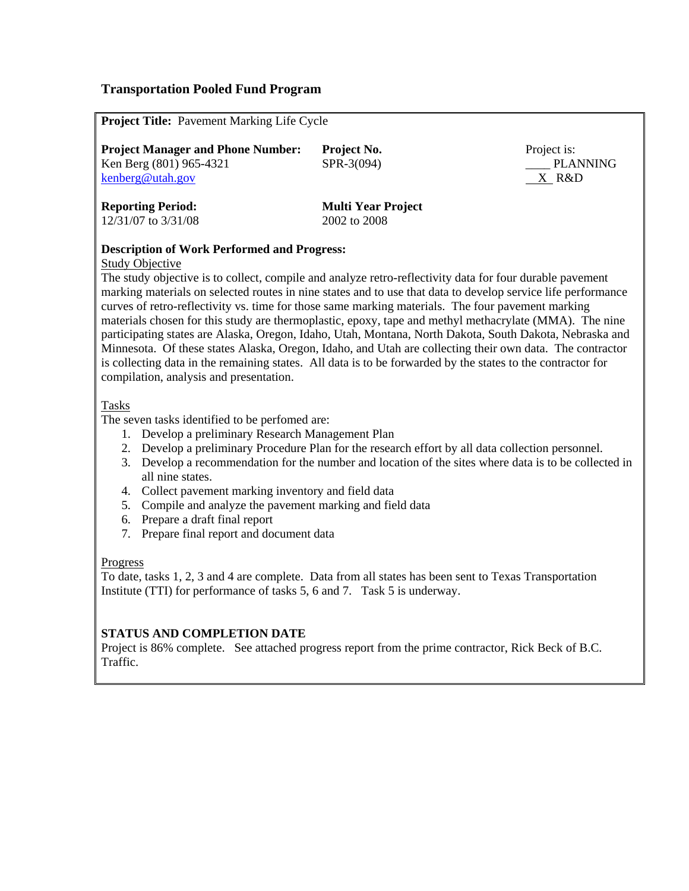# **Transportation Pooled Fund Program**

| Project Title: Pavement Marking Life Cycle |                           |
|--------------------------------------------|---------------------------|
| Project Manager and Phone Number:          | Project No.               |
| Ken Berg $(801)$ 965-4321                  | SPR-3(094)                |
| kenberg@utah.gov                           |                           |
| <b>Reporting Period:</b>                   | <b>Multi Year Project</b> |
| 12/31/07 to 3/31/08                        | 2002 to 2008              |
|                                            |                           |

## **Description of Work Performed and Progress:**

#### Study Objective

The study objective is to collect, compile and analyze retro-reflectivity data for four durable pavement marking materials on selected routes in nine states and to use that data to develop service life performance curves of retro-reflectivity vs. time for those same marking materials. The four pavement marking materials chosen for this study are thermoplastic, epoxy, tape and methyl methacrylate (MMA). The nine participating states are Alaska, Oregon, Idaho, Utah, Montana, North Dakota, South Dakota, Nebraska and Minnesota. Of these states Alaska, Oregon, Idaho, and Utah are collecting their own data. The contractor is collecting data in the remaining states. All data is to be forwarded by the states to the contractor for compilation, analysis and presentation.

Project is:

PLANNING X R&D

#### Tasks

The seven tasks identified to be perfomed are:

- 1. Develop a preliminary Research Management Plan
- 2. Develop a preliminary Procedure Plan for the research effort by all data collection personnel.
- 3. Develop a recommendation for the number and location of the sites where data is to be collected in all nine states.
- 4. Collect pavement marking inventory and field data
- 5. Compile and analyze the pavement marking and field data
- 6. Prepare a draft final report
- 7. Prepare final report and document data

#### Progress

To date, tasks 1, 2, 3 and 4 are complete. Data from all states has been sent to Texas Transportation Institute (TTI) for performance of tasks 5, 6 and 7. Task 5 is underway.

## **STATUS AND COMPLETION DATE**

Project is 86% complete. See attached progress report from the prime contractor, Rick Beck of B.C. Traffic.